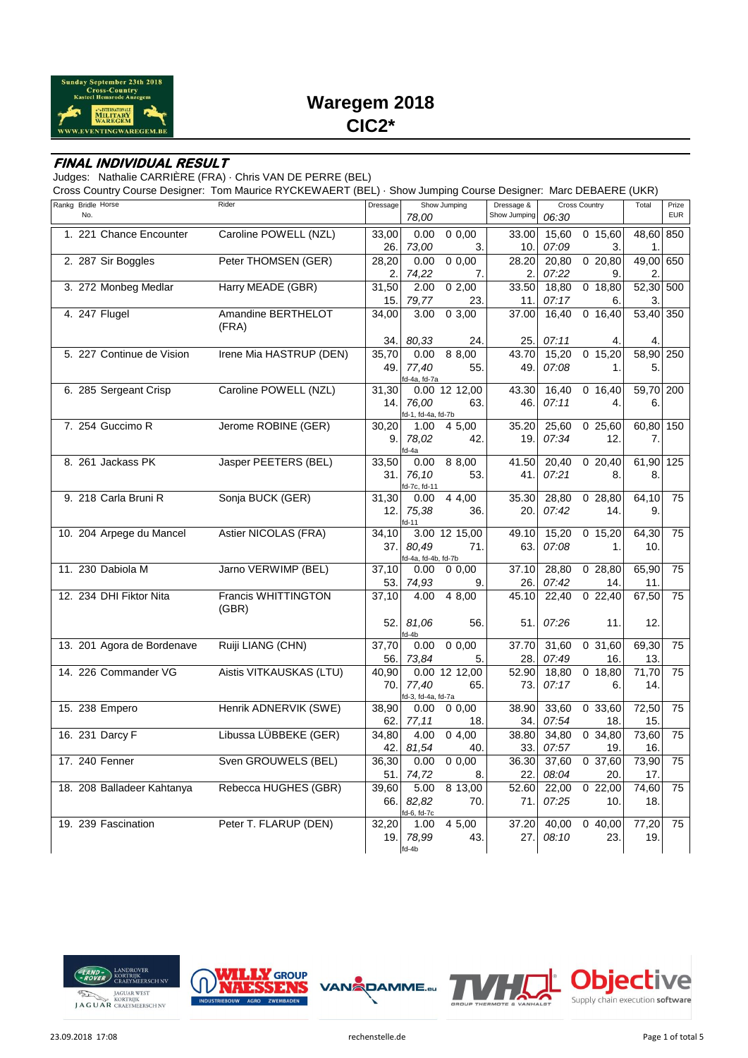

# **Waregem 2018 CIC2\***

#### **FINAL INDIVIDUAL RESULT**

Judges: Nathalie CARRIÈRE (FRA) · Chris VAN DE PERRE (BEL)

Cross Country Course Designer: Tom Maurice RYCKEWAERT (BEL) · Show Jumping Course Designer: Marc DEBAERE (UKR)

| Rankg Bridle Horse         | Rider                        | Dressage     | Show Jumping                |                 | Dressage &<br><b>Cross Country</b> |                | Total                | Prize        |            |
|----------------------------|------------------------------|--------------|-----------------------------|-----------------|------------------------------------|----------------|----------------------|--------------|------------|
| No.                        |                              |              | 78.00                       |                 | Show Jumping                       | 06:30          |                      |              | <b>EUR</b> |
| 1. 221 Chance Encounter    | Caroline POWELL (NZL)        | 33.00        | 0.00                        | 0.00            | 33.00                              | 15.60          | 0, 15.60             | 48.60        | 850        |
|                            |                              | 26.          | 73.00                       | 3.              | 10.                                | 07:09          | 3.                   | 1.           |            |
| 2. 287 Sir Boggles         | Peter THOMSEN (GER)          | 28,20        | 0.00                        | 0.00            | 28.20                              | 20,80          | 020,80               | 49,00        | 650        |
|                            |                              | 2.           | 74.22                       | 7.              | 2.                                 | 07:22          | 9.                   | 2.           |            |
| 3. 272 Monbeg Medlar       | Harry MEADE (GBR)            | 31,50        | 2.00                        | 02,00           | 33.50                              | 18,80          | 0, 18, 80            | 52,30        | 500        |
|                            |                              | 15.          | 79,77                       | 23.             | 11.                                | 07:17          | 6.                   | 3.           |            |
| 4. 247 Flugel              | Amandine BERTHELOT<br>(FRA)  | 34,00        | 3.00                        | 0, 3, 00        | 37.00                              | 16,40          | 0, 16, 40            | 53,40 350    |            |
|                            |                              | 34.          | 80,33                       | 24.             | 25.                                | 07:11          |                      | 4.           |            |
| 5. 227 Continue de Vision  | Irene Mia HASTRUP (DEN)      | 35,70        | 0.00                        | 8 8,00          | 43.70                              | 15,20          | 0, 15, 20            | 58,90        | 250        |
|                            |                              | 49.          | 77,40<br>fd-4a, fd-7a       | 55.             | 49.                                | 07:08          | 1.                   | 5.           |            |
| 6. 285 Sergeant Crisp      | Caroline POWELL (NZL)        | 31,30        |                             | 0.00 12 12,00   | 43.30                              | 16.40          | 0, 16, 40            | 59,70 200    |            |
|                            |                              | 14.          | 76,00<br>fd-1, fd-4a, fd-7b | 63.             | 46.                                | 07:11          | 4.                   | 6.           |            |
| 7. 254 Guccimo R           | Jerome ROBINE (GER)          | 30,20        | 1.00                        | 4 5,00          | 35.20                              | 25,60          | 025,60               | 60,80        | 150        |
|                            |                              | 9.           | 78,02<br>d-4a               | 42.             | 19.                                | 07:34          | 12.                  | 7.           |            |
| 8. 261 Jackass PK          | Jasper PEETERS (BEL)         | 33,50        | 0.00                        | 8 8,00          | 41.50                              | 20.40          | 020,40               | 61,90        | 125        |
|                            |                              | 31.          | 76,10<br>d-7c, fd-11        | 53.             | 41.                                | 07:21          | 8.                   | 8.           |            |
| 9. 218 Carla Bruni R       | Sonja BUCK (GER)             | 31,30        | 0.00                        | 4 4,00          | 35.30                              | 28,80          | 028,80               | 64,10        | 75         |
|                            |                              | 12.          | 75,38<br>$d-11$             | 36.             | 20.                                | 07:42          | 14.                  | 9.           |            |
| 10. 204 Arpege du Mancel   | Astier NICOLAS (FRA)         | 34,10        |                             | 3.00 12 15.00   | 49.10                              | 15,20          | $0$ 15,20            | 64,30        | 75         |
|                            |                              | 37.          | 80,49<br>d-4a, fd-4b, fd-7b | 71.             | 63.                                | 07:08          | 1.                   | 10.          |            |
| 11. 230 Dabiola M          | Jarno VERWIMP (BEL)          | 37,10        | 0.00                        | 0,0.00          | 37.10                              | 28,80          | 028,80               | 65,90        | 75         |
|                            |                              | 53.          | 74,93                       | 9.              | 26.                                | 07:42          | 14.                  | 11.          |            |
| 12. 234 DHI Fiktor Nita    | Francis WHITTINGTON<br>(GBR) | 37,10        | 4.00                        | 4 8,00          | 45.10                              | 22,40          | 022,40               | 67,50        | 75         |
|                            |                              | 52.          | 81,06<br>d-4b               | 56.             | 51                                 | 07:26          | 11.                  | 12.          |            |
| 13. 201 Agora de Bordenave | Ruiji LIANG (CHN)            | 37,70        | 0.00                        | 0.00            | 37.70                              | 31.60          | 0, 31.60             | 69,30        | 75         |
|                            |                              | 56.          | 73,84                       | 5.              | 28.                                | 07:49          | 16.                  | 13.          |            |
| 14. 226 Commander VG       | Aistis VITKAUSKAS (LTU)      | 40,90        |                             | $0.00$ 12 12,00 | 52.90                              | 18,80          | 0 18,80              | 71,70        | 75         |
|                            |                              | 70.          | 77,40<br>d-3, fd-4a, fd-7a  | 65.             | 73.                                | 07:17          | 6.                   | 14.          |            |
| 15. 238 Empero             | Henrik ADNERVIK (SWE)        | 38,90        | 0.00                        | 0,0,00          | 38.90                              | 33,60          | 033,60               | 72,50        | 75         |
|                            |                              | 62.          | 77,11                       | 18.             | 34.                                | 07:54          | 18.                  | 15.          |            |
| 16. 231 Darcy F            | Libussa LÜBBEKE (GER)        | 34,80<br>42. | 4.00<br>81,54               | 04,00<br>40     | 38.80<br>33.                       | 34,80<br>07:57 | 0, 34, 80<br>19.     | 73,60<br>16. | 75         |
| 17. 240 Fenner             | Sven GROUWELS (BEL)          | 36,30        | 0.00                        | 0.00            | 36.30                              | 37,60          | 0, 37.60             | 73,90        | 75         |
|                            |                              | 51.          | 74,72                       | 8.              | 22.                                | 08:04          | 20.                  | 17.          |            |
| 18. 208 Balladeer Kahtanya | Rebecca HUGHES (GBR)         | 39,60        | 5.00                        | 8 13,00         | 52.60                              | 22,00          | 022,00               | 74,60        | 75         |
|                            |                              | 66.          | 82.82                       | 70.             | 71.                                | 07:25          | 10.                  | 18.          |            |
| 19. 239 Fascination        | Peter T. FLARUP (DEN)        | 32,20        | d-6, fd-7c                  | 4 5,00          | 37.20                              | 40,00          | $\overline{0}$ 40,00 |              | 75         |
|                            |                              | 19.          | 1.00<br>78,99               | 43.             | 27.                                | 08:10          | 23.                  | 77,20<br>19. |            |
|                            |                              |              | $fd-4b$                     |                 |                                    |                |                      |              |            |





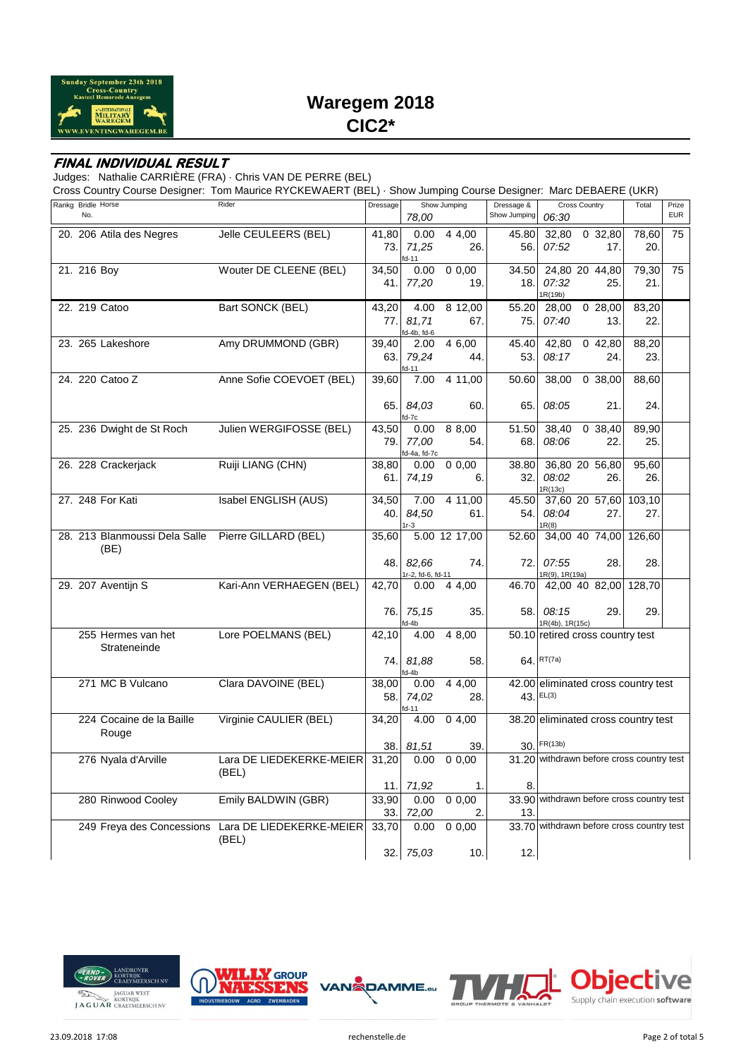

# **Waregem 2018 CIC2\***

### **FINAL INDIVIDUAL RESULT**

Judges: Nathalie CARRIÈRE (FRA) · Chris VAN DE PERRE (BEL)

Cross Country Course Designer: Tom Maurice RYCKEWAERT (BEL) · Show Jumping Course Designer: Marc DEBAERE (UKR)

| Rankg Bridle Horse |                               | Rider                                              | Dressage |                            | Show Jumping  | Dressage &<br><b>Cross Country</b> |                 |                                           | Total  | Prize      |
|--------------------|-------------------------------|----------------------------------------------------|----------|----------------------------|---------------|------------------------------------|-----------------|-------------------------------------------|--------|------------|
| No.                |                               |                                                    |          | 78.00                      |               | Show Jumping                       | 06:30           |                                           |        | <b>EUR</b> |
|                    | 20. 206 Atila des Negres      | Jelle CEULEERS (BEL)                               | 41,80    | 0.00                       | 4,00          | 45.80                              | 32,80           | 0, 32, 80                                 | 78,60  | 75         |
|                    |                               |                                                    | 73.      | 71,25                      | 26.           | 56.                                | 07:52           | 17.                                       | 20.    |            |
|                    |                               |                                                    |          | fd-11                      |               |                                    |                 |                                           |        |            |
| 21. 216 Boy        |                               | Wouter DE CLEENE (BEL)                             | 34,50    | 0.00                       | 0,0,00        | 34.50                              |                 | 24,80 20 44,80                            | 79,30  | 75         |
|                    |                               |                                                    | 41.      | 77,20                      | 19.           | 18.                                | 07:32           | 25.                                       | 21.    |            |
|                    |                               |                                                    |          |                            |               |                                    | IR(19b)         |                                           |        |            |
|                    | 22. 219 Catoo                 | Bart SONCK (BEL)                                   | 43,20    | 4.00                       | 8 12,00       | 55.20                              | 28,00           | 028,00                                    | 83,20  |            |
|                    |                               |                                                    | 77.      | 81,71                      | 67.           | 75.                                | 07:40           | 13.                                       | 22.    |            |
|                    |                               |                                                    |          | fd-4b, fd-6                |               |                                    |                 |                                           |        |            |
|                    | 23. 265 Lakeshore             | Amy DRUMMOND (GBR)                                 | 39,40    | 2.00                       | 4 6,00        | 45.40                              | 42,80           | 042,80                                    | 88,20  |            |
|                    |                               |                                                    | 63.1     | 79,24                      | 44.           | 53.                                | 08:17           | 24.                                       | 23.    |            |
|                    | 24. 220 Catoo Z               | Anne Sofie COEVOET (BEL)                           | 39,60    | fd-11<br>7.00              | 4 11,00       | 50.60                              | 38.00           | $\overline{0}$ 38,00                      | 88.60  |            |
|                    |                               |                                                    |          |                            |               |                                    |                 |                                           |        |            |
|                    |                               |                                                    | 65.I     | 84,03                      | 60.           | 65.                                | 08:05           | 21.                                       | 24.    |            |
|                    |                               |                                                    |          | fd-7c                      |               |                                    |                 |                                           |        |            |
|                    | 25. 236 Dwight de St Roch     | Julien WERGIFOSSE (BEL)                            | 43,50    | 0.00                       | 8 8,00        | $\overline{5}1.50$                 | 38,40           | 0, 38, 40                                 | 89,90  |            |
|                    |                               |                                                    | 79.      | 77,00                      | 54.           | 68.                                | 08:06           | 22.                                       | 25.    |            |
|                    |                               |                                                    |          | fd-4a, fd-7c               |               |                                    |                 |                                           |        |            |
|                    | 26. 228 Crackerjack           | Ruiji LIANG (CHN)                                  | 38,80    | 0.00                       | 0.00          | 38.80                              |                 | 36,80 20 56,80                            | 95,60  |            |
|                    |                               |                                                    | 61.1     | 74,19                      | 6.            | 32.                                | 08:02           | 26.                                       | 26.    |            |
|                    |                               |                                                    |          |                            |               |                                    | IR(13c)         |                                           |        |            |
|                    | 27. 248 For Kati              | Isabel ENGLISH (AUS)                               | 34,50    | 7.00                       | 4 11,00       | 45.50                              |                 | 37,60 20 57,60                            | 103,10 |            |
|                    |                               |                                                    | 40.      | 84,50                      | 61.           | 54.                                | 08:04           | 27.                                       | 27.    |            |
|                    | 28. 213 Blanmoussi Dela Salle | Pierre GILLARD (BEL)                               | 35,60    | 1r-3                       | 5.00 12 17,00 | 52.60                              | R(8)            | 34,00 40 74,00                            | 126,60 |            |
|                    |                               |                                                    |          |                            |               |                                    |                 |                                           |        |            |
|                    | (BE)                          |                                                    |          |                            |               | 72.                                | 07:55           |                                           |        |            |
|                    |                               |                                                    | 48. I    | 82,66<br>1r-2, fd-6, fd-11 | 74.           |                                    | IR(9), 1R(19a)  | 28.                                       | 28.    |            |
|                    | 29. 207 Aventijn S            | Kari-Ann VERHAEGEN (BEL)                           | 42,70    | 0.00                       | 4 4,00        | 46.70                              |                 | 42,00 40 82,00                            | 128,70 |            |
|                    |                               |                                                    |          |                            |               |                                    |                 |                                           |        |            |
|                    |                               |                                                    | 76.      | 75, 15                     | 35.           | 58.                                | 08:15           | 29.                                       | 29.    |            |
|                    |                               |                                                    |          | id-4b                      |               |                                    | 1R(4b), 1R(15c) |                                           |        |            |
|                    | 255 Hermes van het            | Lore POELMANS (BEL)                                | 42,10    | 4.00                       | 4 8,00        |                                    |                 | 50.10 retired cross country test          |        |            |
|                    | Strateneinde                  |                                                    |          |                            |               |                                    |                 |                                           |        |            |
|                    |                               |                                                    | 74.I     | 81,88                      | 58.           |                                    | 64. RT(7a)      |                                           |        |            |
|                    |                               |                                                    |          | fd-4b                      |               |                                    |                 |                                           |        |            |
|                    | 271 MC B Vulcano              | Clara DAVOINE (BEL)                                | 38,00    | 0.00                       | 4 4,00        |                                    |                 | 42.00 eliminated cross country test       |        |            |
|                    |                               |                                                    | 58.      | 74,02                      | 28.           |                                    | 43. EL(3)       |                                           |        |            |
|                    |                               |                                                    |          | fd-11                      |               |                                    |                 |                                           |        |            |
|                    | 224 Cocaine de la Baille      | Virginie CAULIER (BEL)                             | 34,20    | 4.00                       | 04,00         |                                    |                 | 38.20 eliminated cross country test       |        |            |
|                    | Rouge                         |                                                    |          |                            |               |                                    |                 |                                           |        |            |
|                    |                               |                                                    | 38.      | 81,51                      | 39.           |                                    | 30. FR(13b)     |                                           |        |            |
|                    | 276 Nyala d'Arville           | Lara DE LIEDEKERKE-MEIER 31,20                     |          | 0.00                       | 0.00          |                                    |                 | 31.20 withdrawn before cross country test |        |            |
|                    |                               | (BEL)                                              |          |                            |               |                                    |                 |                                           |        |            |
|                    |                               |                                                    | 11.      | 71,92                      | 1.            | 8.                                 |                 |                                           |        |            |
|                    | 280 Rinwood Cooley            | Emily BALDWIN (GBR)                                | 33,90    | 0.00                       | 0,0,00        |                                    |                 | 33.90 withdrawn before cross country test |        |            |
|                    |                               |                                                    | 33.      | 72,00                      | 2.            | 13.                                |                 |                                           |        |            |
|                    |                               | 249 Freya des Concessions Lara DE LIEDEKERKE-MEIER | 33,70    | 0.00                       | 0,0,00        |                                    |                 | 33.70 withdrawn before cross country test |        |            |
|                    |                               | (BEL)                                              |          |                            |               |                                    |                 |                                           |        |            |
|                    |                               |                                                    | 32.      | 75,03                      | 10.           | 12.                                |                 |                                           |        |            |





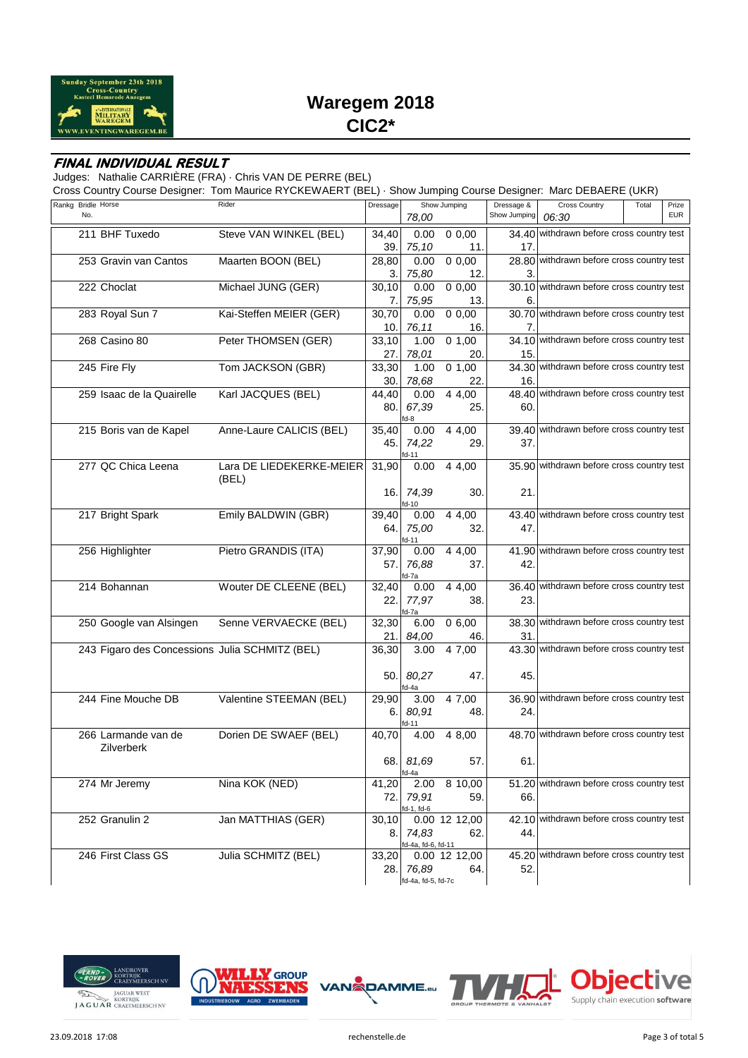

# **Waregem 2018 CIC2\***

#### **FINAL INDIVIDUAL RESULT**

Judges: Nathalie CARRIÈRE (FRA) · Chris VAN DE PERRE (BEL)

Cross Country Course Designer: Tom Maurice RYCKEWAERT (BEL) · Show Jumping Course Designer: Marc DEBAERE (UKR)

| Rankg Bridle Horse                             | Rider                    | Dressage |                    | Show Jumping  | Dressage &      | <b>Cross Country</b>                      | Total | Prize      |
|------------------------------------------------|--------------------------|----------|--------------------|---------------|-----------------|-------------------------------------------|-------|------------|
| No.                                            |                          |          | 78,00              |               | Show Jumping    | 06:30                                     |       | <b>EUR</b> |
| 211 BHF Tuxedo                                 | Steve VAN WINKEL (BEL)   | 34,40    | 0.00               | 0,0,00        |                 | 34.40 withdrawn before cross country test |       |            |
|                                                |                          | 39.      | 75,10              | 11.           | 17 <sub>1</sub> |                                           |       |            |
| 253 Gravin van Cantos                          | Maarten BOON (BEL)       |          | 0.00               | 0,0,00        |                 | 28.80 withdrawn before cross country test |       |            |
|                                                |                          | 28,80    |                    |               |                 |                                           |       |            |
|                                                |                          | 3.       | 75,80              | 12.           | З.              |                                           |       |            |
| 222 Choclat                                    | Michael JUNG (GER)       | 30,10    | 0.00               | 0,0,00        |                 | 30.10 withdrawn before cross country test |       |            |
|                                                |                          | 7.       | 75,95              | 13.           | 6.              |                                           |       |            |
| 283 Royal Sun 7                                | Kai-Steffen MEIER (GER)  | 30,70    | 0.00               | 0,0,00        |                 | 30.70 withdrawn before cross country test |       |            |
|                                                |                          | 10.      | 76,11              | 16.           | 7.              |                                           |       |            |
| 268 Casino 80                                  | Peter THOMSEN (GER)      | 33,10    | 1.00               | 0 1,00        |                 | 34.10 withdrawn before cross country test |       |            |
|                                                |                          | 27.      | 78,01              | 20.           | 15.             |                                           |       |            |
| 245 Fire Fly                                   | Tom JACKSON (GBR)        | 33,30    | 1.00               | 0, 1, 00      |                 | 34.30 withdrawn before cross country test |       |            |
|                                                |                          | 30.      | 78,68              | 22.           | 16.             |                                           |       |            |
| 259 Isaac de la Quairelle                      | Karl JACQUES (BEL)       | 44,40    | 0.00               | 4 4,00        |                 | 48.40 withdrawn before cross country test |       |            |
|                                                |                          |          |                    |               |                 |                                           |       |            |
|                                                |                          | 80.      | 67,39<br>fd-8      | 25.           | 60.             |                                           |       |            |
| 215 Boris van de Kapel                         | Anne-Laure CALICIS (BEL) | 35,40    | 0.00               | 4 4,00        |                 | 39.40 withdrawn before cross country test |       |            |
|                                                |                          | 45.      |                    |               | 37.             |                                           |       |            |
|                                                |                          |          | 74,22<br>d-11      | 29.           |                 |                                           |       |            |
| 277 QC Chica Leena                             | Lara DE LIEDEKERKE-MEIER | 31,90    | 0.00               | 4 4,00        |                 | 35.90 withdrawn before cross country test |       |            |
|                                                | (BEL)                    |          |                    |               |                 |                                           |       |            |
|                                                |                          |          |                    |               |                 |                                           |       |            |
|                                                |                          | 16.      | 74,39              | 30.           | 21.             |                                           |       |            |
| 217 Bright Spark                               | Emily BALDWIN (GBR)      | 39,40    | id-10<br>0.00      | 4 4,00        |                 | 43.40 withdrawn before cross country test |       |            |
|                                                |                          |          |                    |               |                 |                                           |       |            |
|                                                |                          | 64.      | 75,00              | 32.           | 47.             |                                           |       |            |
| 256 Highlighter                                | Pietro GRANDIS (ITA)     | 37,90    | id-11<br>0.00      | 4 4,00        |                 | 41.90 withdrawn before cross country test |       |            |
|                                                |                          |          | 76,88              | 37.           | 42.             |                                           |       |            |
|                                                |                          | 57.      | id-7a              |               |                 |                                           |       |            |
| 214 Bohannan                                   | Wouter DE CLEENE (BEL)   | 32,40    | 0.00               | 4 4,00        |                 | 36.40 withdrawn before cross country test |       |            |
|                                                |                          | 22.      | 77,97              | 38.           | 23.             |                                           |       |            |
|                                                |                          |          | fd-7a              |               |                 |                                           |       |            |
| 250 Google van Alsingen                        | Senne VERVAECKE (BEL)    | 32,30    | 6.00               | 0,6,00        |                 | 38.30 withdrawn before cross country test |       |            |
|                                                |                          | 21.      | 84,00              | 46.           | 31.             |                                           |       |            |
|                                                |                          |          |                    |               |                 | 43.30 withdrawn before cross country test |       |            |
| 243 Figaro des Concessions Julia SCHMITZ (BEL) |                          | 36,30    | 3.00               | 4 7,00        |                 |                                           |       |            |
|                                                |                          |          |                    |               |                 |                                           |       |            |
|                                                |                          | 50.      | 80,27              | 47.           | 45.             |                                           |       |            |
| 244 Fine Mouche DB                             |                          |          | fd-4a              |               |                 |                                           |       |            |
|                                                | Valentine STEEMAN (BEL)  | 29,90    | 3.00               | 4 7,00        |                 | 36.90 withdrawn before cross country test |       |            |
|                                                |                          | 6.       | 80,91              | 48.           | 24.             |                                           |       |            |
|                                                |                          |          | fd-11              |               |                 |                                           |       |            |
| 266 Larmande van de                            | Dorien DE SWAEF (BEL)    | 40,70    | 4.00               | 4 8,00        |                 | 48.70 withdrawn before cross country test |       |            |
| Zilverberk                                     |                          |          |                    |               |                 |                                           |       |            |
|                                                |                          |          | 68. 81.69          | 57.           | 61.             |                                           |       |            |
|                                                |                          |          | fd-4a              |               |                 |                                           |       |            |
| 274 Mr Jeremy                                  | Nina KOK (NED)           | 41,20    | 2.00               | 8 10,00       |                 | 51.20 withdrawn before cross country test |       |            |
|                                                |                          | 72.      | 79,91              | 59.           | 66.             |                                           |       |            |
|                                                |                          |          | $fd-1, fd-6$       |               |                 |                                           |       |            |
| 252 Granulin 2                                 | Jan MATTHIAS (GER)       | 30, 10   |                    | 0.00 12 12,00 |                 | 42.10 withdrawn before cross country test |       |            |
|                                                |                          | 8.       | 74,83              | 62.           | 44.             |                                           |       |            |
|                                                |                          |          | fd-4a, fd-6, fd-11 |               |                 |                                           |       |            |
| 246 First Class GS                             | Julia SCHMITZ (BEL)      | 33,20    |                    | 0.00 12 12,00 |                 | 45.20 withdrawn before cross country test |       |            |
|                                                |                          | 28.I     | 76,89              | 64.           | 52.             |                                           |       |            |
|                                                |                          |          | fd-4a, fd-5, fd-7c |               |                 |                                           |       |            |







VAN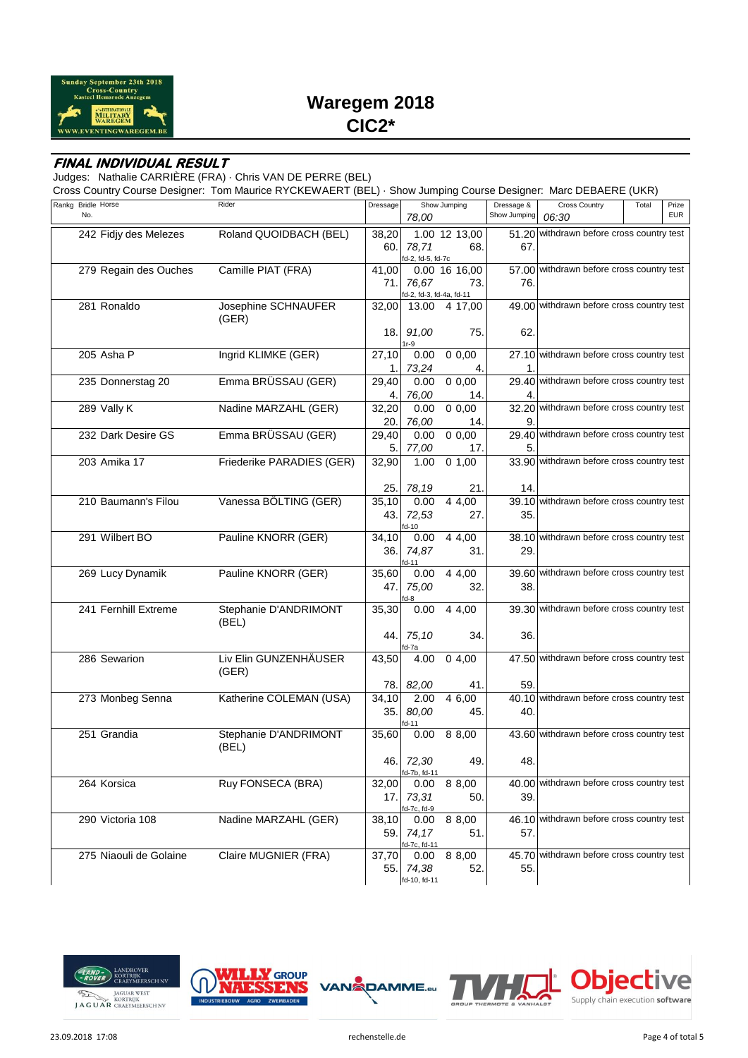

### **FINAL INDIVIDUAL RESULT**

Judges: Nathalie CARRIÈRE (FRA) · Chris VAN DE PERRE (BEL)

Cross Country Course Designer: Tom Maurice RYCKEWAERT (BEL) · Show Jumping Course Designer: Marc DEBAERE (UKR)

| Rankg Bridle Horse     | Rider                     | Dressage |                            | Show Jumping        | Dressage &   | <b>Cross Country</b>                      | Total | Prize      |
|------------------------|---------------------------|----------|----------------------------|---------------------|--------------|-------------------------------------------|-------|------------|
| No.                    |                           |          | 78,00                      |                     | Show Jumping | 06:30                                     |       | <b>EUR</b> |
| 242 Fidjy des Melezes  | Roland QUOIDBACH (BEL)    | 38,20    |                            | 1.00 12 13,00       |              | 51.20 withdrawn before cross country test |       |            |
|                        |                           | 60.      |                            | 68.                 |              |                                           |       |            |
|                        |                           |          | 78,71<br>fd-2, fd-5, fd-7c |                     | 67.          |                                           |       |            |
| 279 Regain des Ouches  | Camille PIAT (FRA)        | 41,00    |                            | 0.00 16 16,00       |              | 57.00 withdrawn before cross country test |       |            |
|                        |                           | 71.1     | 76,67                      | 73.                 | 76.          |                                           |       |            |
|                        |                           |          | fd-2, fd-3, fd-4a, fd-11   |                     |              |                                           |       |            |
| 281 Ronaldo            | Josephine SCHNAUFER       | 32,00    | 13.00                      | 4 17,00             |              | 49.00 withdrawn before cross country test |       |            |
|                        | (GER)                     |          |                            |                     |              |                                           |       |            |
|                        |                           |          |                            |                     |              |                                           |       |            |
|                        |                           | 18.      | 91,00<br>$1r-9$            | 75.                 | 62.          |                                           |       |            |
| 205 Asha P             | Ingrid KLIMKE (GER)       | 27,10    | 0.00                       | 0,0,00              |              | 27.10 withdrawn before cross country test |       |            |
|                        |                           | 1.       | 73,24                      | 4.                  | 1.           |                                           |       |            |
|                        |                           |          |                            |                     |              | 29.40 withdrawn before cross country test |       |            |
| 235 Donnerstag 20      | Emma BRÜSSAU (GER)        | 29,40    | 0.00                       | 0,0,00              |              |                                           |       |            |
|                        |                           | 4.       | 76,00                      | 14.                 |              |                                           |       |            |
| 289 Vally K            | Nadine MARZAHL (GER)      | 32,20    | 0.00                       | 0,0,00              |              | 32.20 withdrawn before cross country test |       |            |
|                        |                           | 20.      | 76,00                      | 14.                 |              |                                           |       |            |
| 232 Dark Desire GS     | Emma BRÜSSAU (GER)        | 29,40    | 0.00                       | 0,0,00              |              | 29.40 withdrawn before cross country test |       |            |
|                        |                           | 5.       | 77,00                      | 17.                 | 5.           |                                           |       |            |
| 203 Amika 17           | Friederike PARADIES (GER) | 32,90    | 1.00                       | $\overline{0}$ 1,00 |              | 33.90 withdrawn before cross country test |       |            |
|                        |                           |          |                            |                     |              |                                           |       |            |
|                        |                           | 25.      | 78,19                      | 21.                 | 14.          |                                           |       |            |
| 210 Baumann's Filou    | Vanessa BÖLTING (GER)     |          | 0.00                       | 4 4,00              |              | 39.10 withdrawn before cross country test |       |            |
|                        |                           | 35,10    |                            |                     |              |                                           |       |            |
|                        |                           | 43.      | 72,53                      | 27.                 | 35.          |                                           |       |            |
| 291 Wilbert BO         | Pauline KNORR (GER)       | 34,10    | fd-10<br>0.00              | 4 4,00              |              | 38.10 withdrawn before cross country test |       |            |
|                        |                           |          |                            |                     | 29.          |                                           |       |            |
|                        |                           | 36.I     | 74,87<br>fd-11             | 31.                 |              |                                           |       |            |
| 269 Lucy Dynamik       | Pauline KNORR (GER)       | 35,60    | 0.00                       | 4 4,00              |              | 39.60 withdrawn before cross country test |       |            |
|                        |                           | 47.      | 75,00                      | 32.                 | 38.          |                                           |       |            |
|                        |                           |          |                            |                     |              |                                           |       |            |
| 241 Fernhill Extreme   | Stephanie D'ANDRIMONT     | 35,30    | 0.00                       | 4 4,00              |              | 39.30 withdrawn before cross country test |       |            |
|                        | (BEL)                     |          |                            |                     |              |                                           |       |            |
|                        |                           | 44.1     | 75,10                      | 34.                 | 36.          |                                           |       |            |
|                        |                           |          | fd-7a                      |                     |              |                                           |       |            |
| 286 Sewarion           | Liv Elin GUNZENHÄUSER     | 43,50    | 4.00                       | 04.00               |              | 47.50 withdrawn before cross country test |       |            |
|                        | (GER)                     |          |                            |                     |              |                                           |       |            |
|                        |                           |          |                            |                     |              |                                           |       |            |
|                        |                           | 78.I     | 82,00                      | 41.                 | 59.          |                                           |       |            |
| 273 Monbeg Senna       | Katherine COLEMAN (USA)   | 34,10    | 2.00                       | 4 6,00              |              | 40.10 withdrawn before cross country test |       |            |
|                        |                           | 35.      | 80,00                      | 45.                 | 40.          |                                           |       |            |
|                        |                           |          | fd-11                      |                     |              | 43.60 withdrawn before cross country test |       |            |
| 251 Grandia            | Stephanie D'ANDRIMONT     | 35,60    |                            | $0.00 \quad 88,00$  |              |                                           |       |            |
|                        | (BEL)                     |          |                            |                     |              |                                           |       |            |
|                        |                           |          | 46. 72,30                  | 49                  | 48.          |                                           |       |            |
|                        |                           |          | fd-7b, fd-11               |                     |              | 40.00 withdrawn before cross country test |       |            |
| 264 Korsica            | Ruy FONSECA (BRA)         | 32,00    | 0.00                       | 8 8,00              |              |                                           |       |            |
|                        |                           | 17.I     | 73,31                      | 50.                 | 39.          |                                           |       |            |
|                        | Nadine MARZAHL (GER)      |          | fd-7c, fd-9                |                     |              | 46.10 withdrawn before cross country test |       |            |
| 290 Victoria 108       |                           | 38,10    | 0.00                       | 8 8,00              |              |                                           |       |            |
|                        |                           | 59.1     | 74,17                      | 51.                 | 57.          |                                           |       |            |
| 275 Niaouli de Golaine | Claire MUGNIER (FRA)      |          | fd-7c, fd-11               | 8 8,00              |              | 45.70 withdrawn before cross country test |       |            |
|                        |                           | 37,70    | 0.00                       |                     |              |                                           |       |            |
|                        |                           | 55.1     | 74,38                      | 52.                 | 55.          |                                           |       |            |
|                        |                           |          | fd-10, fd-11               |                     |              |                                           |       |            |







VAN